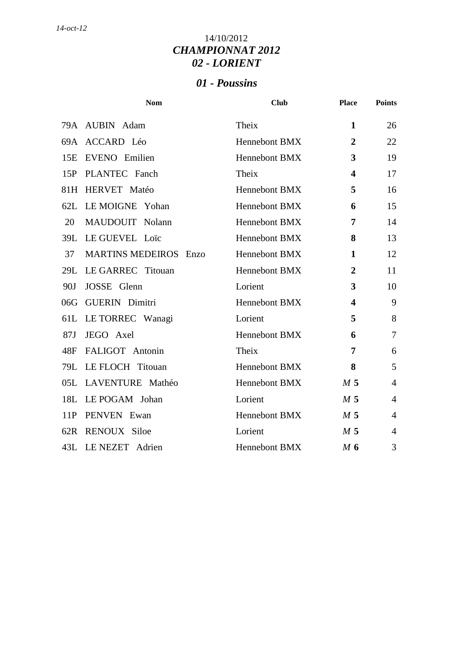## *01 - Poussins*

|     | <b>Nom</b>                   | <b>Club</b>          | <b>Place</b>            | <b>Points</b>  |
|-----|------------------------------|----------------------|-------------------------|----------------|
|     | 79A AUBIN Adam               | Theix                | 1                       | 26             |
|     | 69A ACCARD Léo               | <b>Hennebont BMX</b> | $\mathbf{2}$            | 22             |
| 15E | EVENO Emilien                | Hennebont BMX        | 3                       | 19             |
|     | 15P PLANTEC Fanch            | Theix                | 4                       | 17             |
|     | 81H HERVET Matéo             | <b>Hennebont BMX</b> | 5                       | 16             |
| 62L | LE MOIGNE Yohan              | Hennebont BMX        | 6                       | 15             |
| 20  | MAUDOUIT Nolann              | Hennebont BMX        | 7                       | 14             |
| 39L | LE GUEVEL Loïc               | <b>Hennebont BMX</b> | 8                       | 13             |
| 37  | <b>MARTINS MEDEIROS</b> Enzo | <b>Hennebont BMX</b> | $\mathbf{1}$            | 12             |
| 29L | LE GARREC Titouan            | Hennebont BMX        | $\boldsymbol{2}$        | 11             |
| 90J | JOSSE Glenn                  | Lorient              | 3                       | 10             |
| 06G | <b>GUERIN</b> Dimitri        | Hennebont BMX        | $\overline{\mathbf{4}}$ | 9              |
|     | 61L LE TORREC Wanagi         | Lorient              | 5                       | 8              |
| 87J | JEGO Axel                    | Hennebont BMX        | 6                       | $\overline{7}$ |
| 48F | FALIGOT Antonin              | Theix                | 7                       | 6              |
| 79L | LE FLOCH Titouan             | Hennebont BMX        | 8                       | 5              |
|     | 05L LAVENTURE Mathéo         | Hennebont BMX        | M <sub>5</sub>          | $\overline{4}$ |
| 18L | LE POGAM Johan               | Lorient              | M 5                     | $\overline{4}$ |
| 11P | PENVEN Ewan                  | Hennebont BMX        | M <sub>5</sub>          | $\overline{4}$ |
|     | 62R RENOUX Siloe             | Lorient              | M 5                     | $\overline{4}$ |
|     | 43L LE NEZET Adrien          | Hennebont BMX        | $M_{\odot}$             | 3              |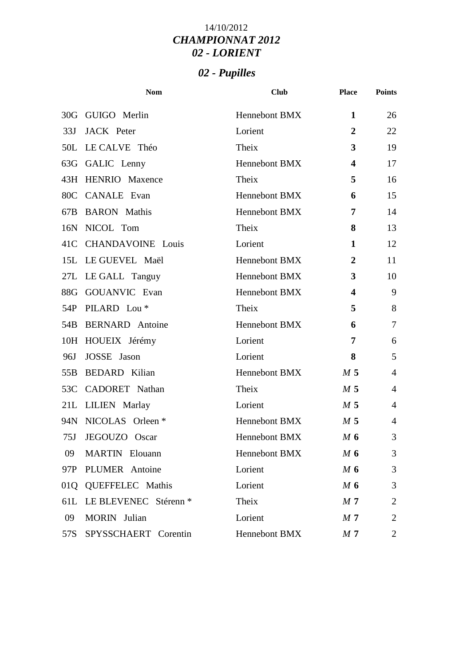# *02 - Pupilles*

|     | <b>Nom</b>                           | <b>Club</b>   | <b>Place</b>            | <b>Points</b>   |
|-----|--------------------------------------|---------------|-------------------------|-----------------|
|     | 30G GUIGO Merlin                     | Hennebont BMX | 1                       | 26              |
| 33J | JACK Peter                           | Lorient       | $\overline{2}$          | 22              |
|     | 50L LE CALVE Théo                    | Theix         | $\mathbf{3}$            | 19              |
|     | 63G GALIC Lenny                      | Hennebont BMX | $\overline{\mathbf{4}}$ | 17              |
|     | 43H HENRIO Maxence                   | Theix         | 5                       | 16              |
|     | 80C CANALE Evan                      | Hennebont BMX | 6                       | 15              |
|     | 67B BARON Mathis                     | Hennebont BMX | 7                       | 14              |
|     | 16N NICOL Tom                        | Theix         | 8                       | 13              |
|     | 41C CHANDAVOINE Louis                | Lorient       | $\mathbf{1}$            | 12              |
|     | 15L LE GUEVEL Maël                   | Hennebont BMX | $\overline{2}$          | 11              |
|     | 27L LE GALL Tanguy                   | Hennebont BMX | $\mathbf{3}$            | 10              |
|     | 88G GOUANVIC Evan                    | Hennebont BMX | 4                       | 9               |
|     | 54P PILARD Lou <sup>*</sup>          | Theix         | 5                       | 8               |
|     | 54B BERNARD Antoine                  | Hennebont BMX | 6                       | $\overline{7}$  |
|     | 10H HOUEIX Jérémy                    | Lorient       | 7                       | 6               |
| 96J | <b>JOSSE</b> Jason                   | Lorient       | 8                       | $5\overline{)}$ |
|     | 55B BEDARD Kilian                    | Hennebont BMX | M <sub>5</sub>          | $\overline{4}$  |
|     | 53C CADORET Nathan                   | Theix         | M <sub>5</sub>          | $\overline{4}$  |
|     | 21L LILIEN Marlay                    | Lorient       | M <sub>5</sub>          | $\overline{4}$  |
|     | 94N NICOLAS Orleen *                 | Hennebont BMX | M <sub>5</sub>          | $\overline{4}$  |
| 75J | JEGOUZO Oscar                        | Hennebont BMX | M 6                     | 3               |
| 09  | <b>MARTIN</b> Elouann                | Hennebont BMX | $M_{\odot}$             | 3               |
|     | 97P PLUMER Antoine                   | Lorient       | $M_{6}$                 | 3               |
|     | 01Q QUEFFELEC Mathis                 | Lorient       | $M_{\odot}$             | 3               |
|     | 61L LE BLEVENEC Stérenn <sup>*</sup> | Theix         | M <sub>7</sub>          | $\overline{2}$  |
| 09  | <b>MORIN</b> Julian                  | Lorient       | M <sub>7</sub>          | 2               |
|     | 57S SPYSSCHAERT Corentin             | Hennebont BMX | M <sub>7</sub>          | $\overline{2}$  |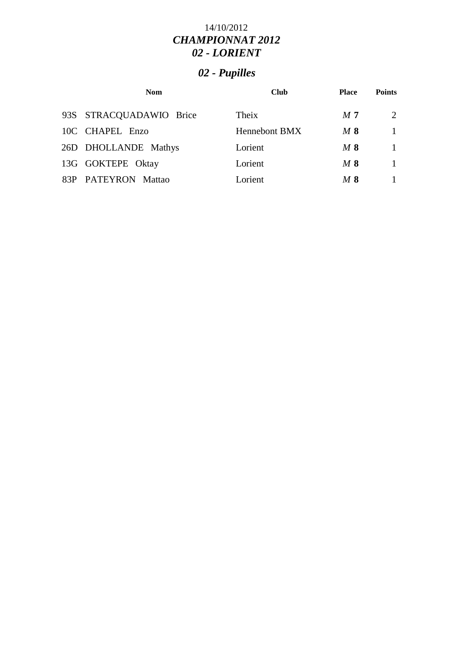# *02 - Pupilles*

| <b>Nom</b>              | <b>Club</b>          | <b>Place</b> | <b>Points</b>               |
|-------------------------|----------------------|--------------|-----------------------------|
| 93S STRACQUADAWIO Brice | Theix                | M 7          | $\mathcal{D}_{\mathcal{L}}$ |
| 10C CHAPEL Enzo         | <b>Hennebont BMX</b> | M 8          |                             |
| 26D DHOLLANDE Mathys    | Lorient              | $M\,8$       |                             |
| 13G GOKTEPE Oktay       | Lorient              | $M\,8$       |                             |
| 83P PATEYRON Mattao     | Lorient              | $M\,8$       |                             |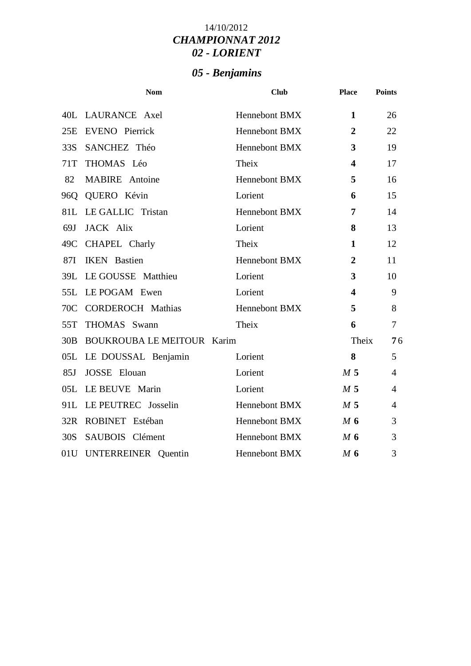# *05 - Benjamins*

|     | <b>Nom</b>                 | <b>Club</b>          | <b>Place</b>            | <b>Points</b>  |
|-----|----------------------------|----------------------|-------------------------|----------------|
|     | 40L LAURANCE Axel          | Hennebont BMX        | $\mathbf{1}$            | 26             |
| 25E | EVENO Pierrick             | Hennebont BMX        | $\overline{2}$          | 22             |
| 33S | SANCHEZ Théo               | Hennebont BMX        | 3                       | 19             |
| 71T | THOMAS Léo                 | Theix                | $\overline{\mathbf{4}}$ | 17             |
| 82  | <b>MABIRE</b> Antoine      | Hennebont BMX        | 5                       | 16             |
| 96Q | QUERO Kévin                | Lorient              | 6                       | 15             |
| 81L | LE GALLIC Tristan          | Hennebont BMX        | 7                       | 14             |
| 69J | JACK Alix                  | Lorient              | 8                       | 13             |
| 49C | CHAPEL Charly              | Theix                | $\mathbf{1}$            | 12             |
| 87I | <b>IKEN</b> Bastien        | Hennebont BMX        | $\overline{2}$          | 11             |
| 39L | LE GOUSSE Matthieu         | Lorient              | 3                       | 10             |
| 55L | LE POGAM Ewen              | Lorient              | $\overline{\mathbf{4}}$ | 9              |
| 70C | <b>CORDEROCH Mathias</b>   | Hennebont BMX        | 5                       | 8              |
| 55T | THOMAS Swann               | Theix                | 6                       | $\overline{7}$ |
| 30B | BOUKROUBA LE MEITOUR Karim |                      | Theix                   | 76             |
| 05L | LE DOUSSAL Benjamin        | Lorient              | 8                       | 5              |
| 85J | <b>JOSSE</b> Elouan        | Lorient              | M <sub>5</sub>          | $\overline{4}$ |
| 05L | LE BEUVE Marin             | Lorient              | M <sub>5</sub>          | $\overline{4}$ |
| 91L | LE PEUTREC Josselin        | Hennebont BMX        | M <sub>5</sub>          | 4              |
|     | 32R ROBINET Estéban        | Hennebont BMX        | $M_{\odot}$             | 3              |
| 30S | SAUBOIS Clément            | Hennebont BMX        | $M_{\odot}$             | 3              |
|     | 01U UNTERREINER Quentin    | <b>Hennebont BMX</b> | $M_{\odot}$             | 3              |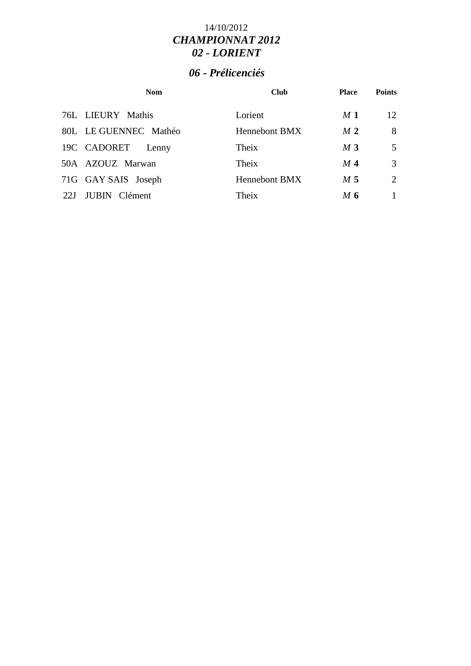## *06 - Prélicenciés*

|     | <b>Nom</b>              | <b>Club</b>          | <b>Place</b>   | <b>Points</b> |
|-----|-------------------------|----------------------|----------------|---------------|
|     | 76L LIEURY Mathis       | Lorient              | M <sub>1</sub> | 12            |
|     | 80L LE GUENNEC Mathéo   | <b>Hennebont BMX</b> | M <sub>2</sub> | 8             |
|     | 19C CADORET<br>Lenny    | Theix                | M 3            | 5             |
|     | 50A AZOUZ Marwan        | Theix                | $M\,4$         | 3             |
|     | 71G GAY SAIS Joseph     | <b>Hennebont BMX</b> | M 5            | 2             |
| 22J | <b>JUBIN</b><br>Clément | Theix                | M 6            |               |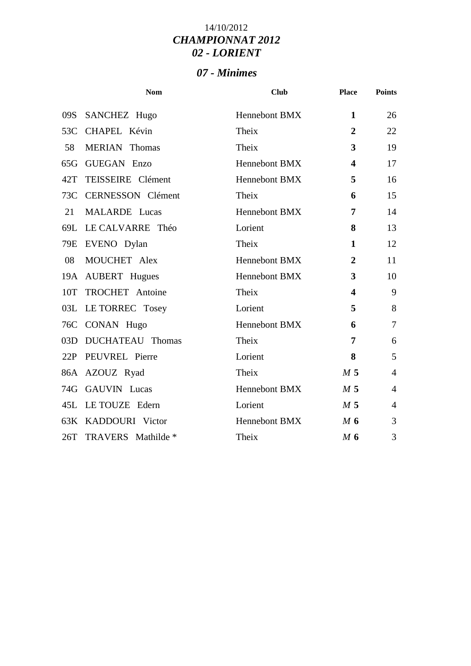## *07 - Minimes*

|     | <b>Nom</b>               | <b>Club</b>   | <b>Place</b>            | <b>Points</b>  |
|-----|--------------------------|---------------|-------------------------|----------------|
| 09S | SANCHEZ Hugo             | Hennebont BMX | 1                       | 26             |
| 53C | CHAPEL Kévin             | Theix         | $\overline{2}$          | 22             |
| 58  | <b>MERIAN</b> Thomas     | Theix         | 3                       | 19             |
|     | 65G GUEGAN Enzo          | Hennebont BMX | $\overline{\mathbf{4}}$ | 17             |
| 42T | TEISSEIRE Clément        | Hennebont BMX | 5                       | 16             |
| 73C | <b>CERNESSON Clément</b> | Theix         | 6                       | 15             |
| 21  | <b>MALARDE</b> Lucas     | Hennebont BMX | 7                       | 14             |
|     | 69L LE CALVARRE Théo     | Lorient       | 8                       | 13             |
|     | 79E EVENO Dylan          | Theix         | $\mathbf{1}$            | 12             |
| 08  | MOUCHET Alex             | Hennebont BMX | $\overline{2}$          | 11             |
|     | 19A AUBERT Hugues        | Hennebont BMX | $\overline{3}$          | 10             |
| 10T | <b>TROCHET</b> Antoine   | Theix         | $\overline{\mathbf{4}}$ | 9              |
|     | 03L LE TORREC Tosey      | Lorient       | 5                       | 8              |
|     | 76C CONAN Hugo           | Hennebont BMX | 6                       | 7              |
|     | 03D DUCHATEAU Thomas     | Theix         | 7                       | 6              |
| 22P | PEUVREL Pierre           | Lorient       | 8                       | 5              |
|     | 86A AZOUZ Ryad           | Theix         | M <sub>5</sub>          | $\overline{4}$ |
|     | 74G GAUVIN Lucas         | Hennebont BMX | M <sub>5</sub>          | 4              |
|     | 45L LE TOUZE Edern       | Lorient       | M <sub>5</sub>          | $\overline{4}$ |
|     | 63K KADDOURI Victor      | Hennebont BMX | $M_{\odot}$             | 3              |
|     | 26T TRAVERS Mathilde *   | Theix         | $M_{\odot}$             | 3              |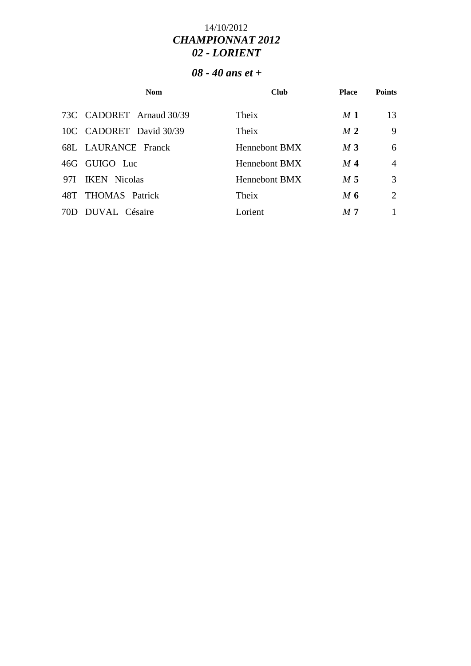## *08 - 40 ans et +*

|     | <b>Nom</b>                 | <b>Club</b>          | <b>Place</b>   | <b>Points</b>  |
|-----|----------------------------|----------------------|----------------|----------------|
|     | 73C CADORET Arnaud 30/39   | Theix                | M <sub>1</sub> | 13             |
|     | 10C CADORET David 30/39    | Theix                | M <sub>2</sub> | 9              |
|     | <b>68L LAURANCE Franck</b> | Hennebont BMX        | M <sub>3</sub> | 6              |
|     | 46G GUIGO Luc              | Hennebont BMX        | $M\,4$         | $\overline{4}$ |
| 97I | <b>IKEN</b> Nicolas        | <b>Hennebont BMX</b> | M 5            | 3              |
| 48T | <b>THOMAS</b> Patrick      | <b>Theix</b>         | M 6            | 2              |
| 70D | DUVAL Césaire              | Lorient              | M 7            |                |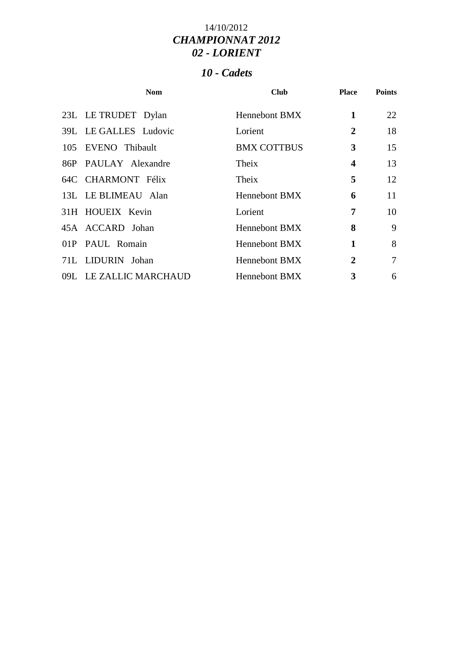## *10 - Cadets*

| <b>Nom</b>             | <b>Club</b>          | <b>Place</b>   | <b>Points</b>  |
|------------------------|----------------------|----------------|----------------|
| 23L LE TRUDET Dylan    | <b>Hennebont BMX</b> | 1              | 22             |
| 39L LE GALLES Ludovic  | Lorient              | $\mathbf{2}$   | 18             |
| 105 EVENO Thibault     | <b>BMX COTTBUS</b>   | 3              | 15             |
| 86P PAULAY Alexandre   | Theix                | 4              | 13             |
| 64C CHARMONT Félix     | Theix                | 5              | 12             |
| 13L LE BLIMEAU Alan    | Hennebont BMX        | 6              | 11             |
| 31H HOUEIX Kevin       | Lorient              | 7              | 10             |
| 45A ACCARD Johan       | <b>Hennebont BMX</b> | 8              | 9              |
| 01P PAUL Romain        | <b>Hennebont BMX</b> | 1              | 8              |
| 71L LIDURIN Johan      | <b>Hennebont BMX</b> | $\overline{2}$ | $\overline{7}$ |
| 09L LE ZALLIC MARCHAUD | <b>Hennebont BMX</b> | 3              | 6              |